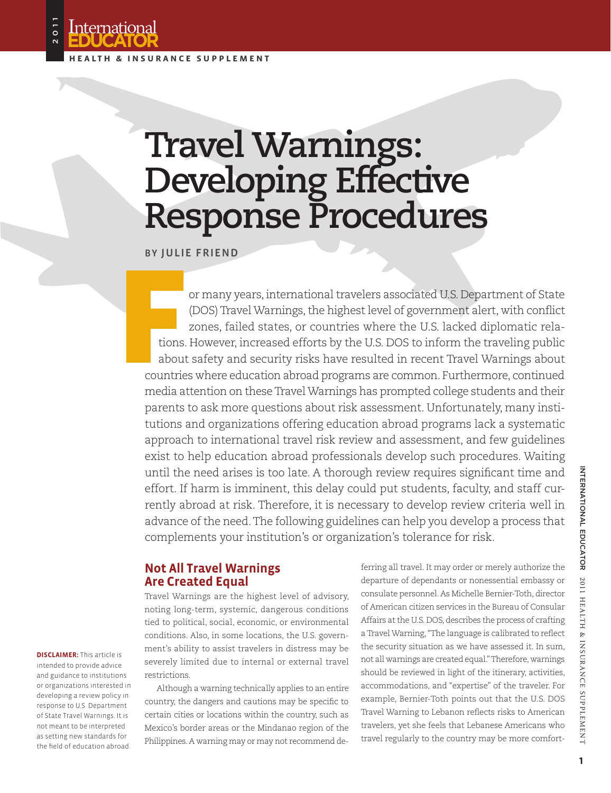

International

**Educator**

2011

# **Travel Warnings: Developing Effective Response Procedures**

By Julie Friend

or many years, international travelers associated U.S. Department of State (DOS) Travel Warnings, the highest level of government alert, with conflict zones, failed states, or countries where the U.S. lacked diplomatic relations. However, increased efforts by the U.S. DOS to inform the traveling public about safety and security risks have resulted in recent Travel Warnings about countries where education abroad programs are common. Furthermore, continued media attention on these Travel Warnings has prompted college students and their parents to ask more questions about risk assessment. Unfortunately, many institutions and organizations offering education abroad programs lack a systematic approach to international travel risk review and assessment, and few guidelines exist to help education abroad professionals develop such procedures. Waiting until the need arises is too late. A thorough review requires significant time and effort. If harm is imminent, this delay could put students, faculty, and staff currently abroad at risk. Therefore, it is necessary to develop review criteria well in advance of the need. The following guidelines can help you develop a process that complements your institution's or organization's tolerance for risk.

## **Not All Travel Warnings Are Created Equal**

Travel Warnings are the highest level of advisory, noting long-term, systemic, dangerous conditions tied to political, social, economic, or environmental conditions. Also, in some locations, the U.S. government's ability to assist travelers in distress may be severely limited due to internal or external travel restrictions.

Although a warning technically applies to an entire country, the dangers and cautions may be specific to certain cities or locations within the country, such as Mexico's border areas or the Mindanao region of the Philippines. A warning may or may not recommend deferring all travel. It may order or merely authorize the departure of dependants or nonessential embassy or consulate personnel. As Michelle Bernier-Toth, director of American citizen services in the Bureau of Consular Affairs at the U.S. DOS, describes the process of crafting a Travel Warning, "The language is calibrated to reflect the security situation as we have assessed it. In sum, not all warnings are created equal." Therefore, warnings should be reviewed in light of the itinerary, activities, accommodations, and "expertise" of the traveler. For example, Bernier-Toth points out that the U.S. DOS Travel Warning to Lebanon reflects risks to American travelers, yet she feels that Lebanese Americans who travel regularly to the country may be more comfort-

**DISCLAIMER:** This article is intended to provide advice and guidance to institutions or organizations interested in developing a review policy in response to U.S. Department of State Travel Warnings. It is not meant to be interpreted as setting new standards for the field of education abroad.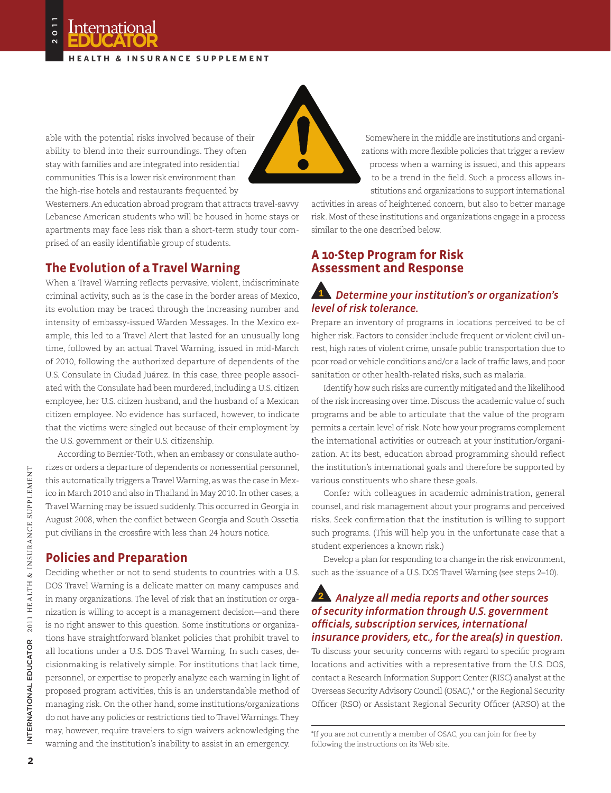#### **H ealt h & i n s u ra n ce s upp leme n t**



able with the potential risks involved because of their ability to blend into their surroundings. They often stay with families and are integrated into residential communities. This is a lower risk environment than the high-rise hotels and restaurants frequented by

Westerners. An education abroad program that attracts travel-savvy Lebanese American students who will be housed in home stays or apartments may face less risk than a short-term study tour comprised of an easily identifiable group of students.

## **The Evolution of a Travel Warning**

When a Travel Warning reflects pervasive, violent, indiscriminate criminal activity, such as is the case in the border areas of Mexico, its evolution may be traced through the increasing number and intensity of embassy-issued Warden Messages. In the Mexico example, this led to a Travel Alert that lasted for an unusually long time, followed by an actual Travel Warning, issued in mid-March of 2010, following the authorized departure of dependents of the U.S. Consulate in Ciudad Juárez. In this case, three people associated with the Consulate had been murdered, including a U.S. citizen employee, her U.S. citizen husband, and the husband of a Mexican citizen employee. No evidence has surfaced, however, to indicate that the victims were singled out because of their employment by the U.S. government or their U.S. citizenship.

According to Bernier-Toth, when an embassy or consulate authorizes or orders a departure of dependents or nonessential personnel, this automatically triggers a Travel Warning, as was the case in Mexico in March 2010 and also in Thailand in May 2010. In other cases, a Travel Warning may be issued suddenly. This occurred in Georgia in August 2008, when the conflict between Georgia and South Ossetia put civilians in the crossfire with less than 24 hours notice.

#### **Policies and Preparation**

Deciding whether or not to send students to countries with a U.S. DOS Travel Warning is a delicate matter on many campuses and in many organizations. The level of risk that an institution or organization is willing to accept is a management decision—and there is no right answer to this question. Some institutions or organizations have straightforward blanket policies that prohibit travel to all locations under a U.S. DOS Travel Warning. In such cases, decisionmaking is relatively simple. For institutions that lack time, personnel, or expertise to properly analyze each warning in light of proposed program activities, this is an understandable method of managing risk. On the other hand, some institutions/organizations do not have any policies or restrictions tied to Travel Warnings. They may, however, require travelers to sign waivers acknowledging the warning and the institution's inability to assist in an emergency.

Somewhere in the middle are institutions and organizations with more flexible policies that trigger a review process when a warning is issued, and this appears to be a trend in the field. Such a process allows institutions and organizations to support international

activities in areas of heightened concern, but also to better manage risk. Most of these institutions and organizations engage in a process similar to the one described below.

## **A 10-Step Program for Risk Assessment and Response**

## *Determine your institution's or organization's level of risk tolerance.*

Prepare an inventory of programs in locations perceived to be of higher risk. Factors to consider include frequent or violent civil unrest, high rates of violent crime, unsafe public transportation due to poor road or vehicle conditions and/or a lack of traffic laws, and poor sanitation or other health-related risks, such as malaria.

Identify how such risks are currently mitigated and the likelihood of the risk increasing over time. Discuss the academic value of such programs and be able to articulate that the value of the program permits a certain level of risk. Note how your programs complement the international activities or outreach at your institution/organization. At its best, education abroad programming should reflect the institution's international goals and therefore be supported by various constituents who share these goals.

Confer with colleagues in academic administration, general counsel, and risk management about your programs and perceived risks. Seek confirmation that the institution is willing to support such programs. (This will help you in the unfortunate case that a student experiences a known risk.)

Develop a plan for responding to a change in the risk environment, such as the issuance of a U.S. DOS Travel Warning (see steps 2–10).

#### *Analyze all media reports and other sources of security information through U.S. government officials, subscription services, international insurance providers, etc., for the area(s) in question.*

To discuss your security concerns with regard to specific program locations and activities with a representative from the U.S. DOS, contact a Research Information Support Center (RISC) analyst at the Overseas Security Advisory Council (OSAC),\* or the Regional Security Officer (RSO) or Assistant Regional Security Officer (ARSO) at the

<sup>\*</sup>If you are not currently a member of OSAC, you can join for free by following the instructions on its Web site.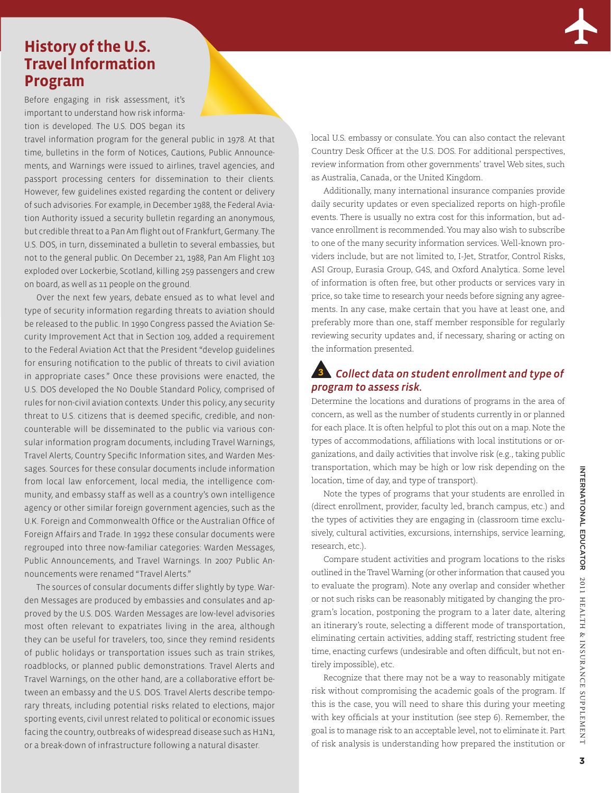# **History of the U.S. Travel Information Program**

Before engaging in risk assessment, it's important to understand how risk information is developed. The U.S. DOS began its

travel information program for the general public in 1978. At that time, bulletins in the form of Notices, Cautions, Public Announcements, and Warnings were issued to airlines, travel agencies, and passport processing centers for dissemination to their clients. However, few guidelines existed regarding the content or delivery of such advisories. For example, in December 1988, the Federal Aviation Authority issued a security bulletin regarding an anonymous, but credible threat to a Pan Am flight out of Frankfurt, Germany. The U.S. DOS, in turn, disseminated a bulletin to several embassies, but not to the general public. On December 21, 1988, Pan Am Flight 103 exploded over Lockerbie, Scotland, killing 259 passengers and crew on board, as well as 11 people on the ground.

Over the next few years, debate ensued as to what level and type of security information regarding threats to aviation should be released to the public. In 1990 Congress passed the Aviation Security Improvement Act that in Section 109, added a requirement to the Federal Aviation Act that the President "develop guidelines for ensuring notification to the public of threats to civil aviation in appropriate cases." Once these provisions were enacted, the U.S. DOS developed the No Double Standard Policy, comprised of rules for non-civil aviation contexts. Under this policy, any security threat to U.S. citizens that is deemed specific, credible, and noncounterable will be disseminated to the public via various consular information program documents, including Travel Warnings, Travel Alerts, Country Specific Information sites, and Warden Messages. Sources for these consular documents include information from local law enforcement, local media, the intelligence community, and embassy staff as well as a country's own intelligence agency or other similar foreign government agencies, such as the U.K. Foreign and Commonwealth Office or the Australian Office of Foreign Affairs and Trade. In 1992 these consular documents were regrouped into three now-familiar categories: Warden Messages, Public Announcements, and Travel Warnings. In 2007 Public Announcements were renamed "Travel Alerts."

The sources of consular documents differ slightly by type. Warden Messages are produced by embassies and consulates and approved by the U.S. DOS. Warden Messages are low-level advisories most often relevant to expatriates living in the area, although they can be useful for travelers, too, since they remind residents of public holidays or transportation issues such as train strikes, roadblocks, or planned public demonstrations. Travel Alerts and Travel Warnings, on the other hand, are a collaborative effort between an embassy and the U.S. DOS. Travel Alerts describe temporary threats, including potential risks related to elections, major sporting events, civil unrest related to political or economic issues facing the country, outbreaks of widespread disease such as H1N1, or a break-down of infrastructure following a natural disaster.

local U.S. embassy or consulate. You can also contact the relevant Country Desk Officer at the U.S. DOS. For additional perspectives, review information from other governments' travel Web sites, such as Australia, Canada, or the United Kingdom.

Additionally, many international insurance companies provide daily security updates or even specialized reports on high-profile events. There is usually no extra cost for this information, but advance enrollment is recommended. You may also wish to subscribe to one of the many security information services. Well-known providers include, but are not limited to, I-Jet, Stratfor, Control Risks, ASI Group, Eurasia Group, G4S, and Oxford Analytica. Some level of information is often free, but other products or services vary in price, so take time to research your needs before signing any agreements. In any case, make certain that you have at least one, and preferably more than one, staff member responsible for regularly reviewing security updates and, if necessary, sharing or acting on the information presented.

## *Collect data on student enrollment and type of program to assess risk.*

Determine the locations and durations of programs in the area of concern, as well as the number of students currently in or planned for each place. It is often helpful to plot this out on a map. Note the types of accommodations, affiliations with local institutions or organizations, and daily activities that involve risk (e.g., taking public transportation, which may be high or low risk depending on the location, time of day, and type of transport).

Note the types of programs that your students are enrolled in (direct enrollment, provider, faculty led, branch campus, etc.) and the types of activities they are engaging in (classroom time exclusively, cultural activities, excursions, internships, service learning, research, etc.).

Compare student activities and program locations to the risks outlined in the Travel Warning (or other information that caused you to evaluate the program). Note any overlap and consider whether or not such risks can be reasonably mitigated by changing the program's location, postponing the program to a later date, altering an itinerary's route, selecting a different mode of transportation, eliminating certain activities, adding staff, restricting student free time, enacting curfews (undesirable and often difficult, but not entirely impossible), etc.

Recognize that there may not be a way to reasonably mitigate risk without compromising the academic goals of the program. If this is the case, you will need to share this during your meeting with key officials at your institution (see step 6). Remember, the goal is to manage risk to an acceptable level, not to eliminate it. Part of risk analysis is understanding how prepared the institution or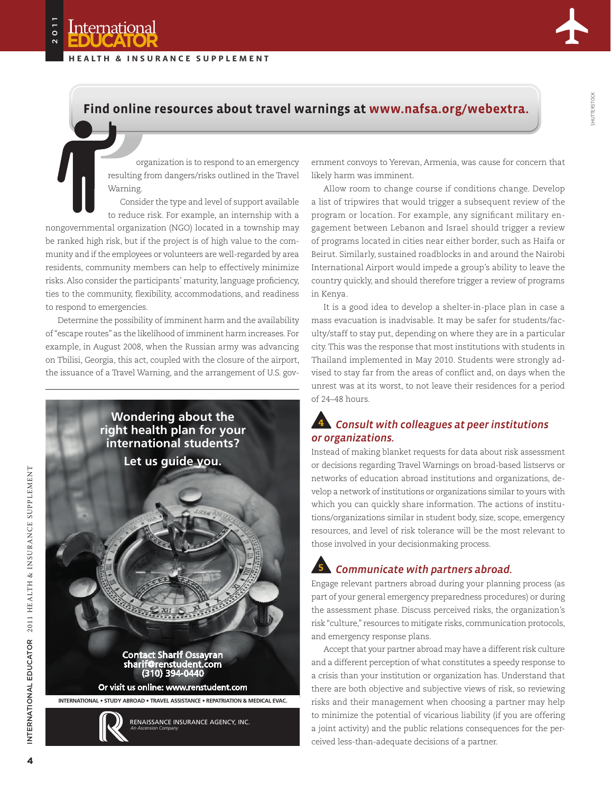**International** 2011 **Educator**

**H ealt h & i n s u ra n ce s upp leme n t**



Shutterstock

## **Find online resources about travel warnings at www.nafsa.org/webextra.**

organization is to respond to an emergency resulting from dangers/risks outlined in the Travel Warning.

Consider the type and level of support available to reduce risk. For example, an internship with a nongovernmental organization (NGO) located in a township may be ranked high risk, but if the project is of high value to the community and if the employees or volunteers are well-regarded by area residents, community members can help to effectively minimize risks. Also consider the participants' maturity, language proficiency, ties to the community, flexibility, accommodations, and readiness

to respond to emergencies. Determine the possibility of imminent harm and the availability of "escape routes" as the likelihood of imminent harm increases. For example, in August 2008, when the Russian army was advancing on Tbilisi, Georgia, this act, coupled with the closure of the airport,

the issuance of a Travel Warning, and the arrangement of U.S. gov-



ernment convoys to Yerevan, Armenia, was cause for concern that likely harm was imminent.

Allow room to change course if conditions change. Develop a list of tripwires that would trigger a subsequent review of the program or location. For example, any significant military engagement between Lebanon and Israel should trigger a review of programs located in cities near either border, such as Haifa or Beirut. Similarly, sustained roadblocks in and around the Nairobi International Airport would impede a group's ability to leave the country quickly, and should therefore trigger a review of programs in Kenya.

It is a good idea to develop a shelter-in-place plan in case a mass evacuation is inadvisable. It may be safer for students/faculty/staff to stay put, depending on where they are in a particular city. This was the response that most institutions with students in Thailand implemented in May 2010. Students were strongly advised to stay far from the areas of conflict and, on days when the unrest was at its worst, to not leave their residences for a period of 24–48 hours.

## *Consult with colleagues at peer institutions or organizations.*

Instead of making blanket requests for data about risk assessment or decisions regarding Travel Warnings on broad-based listservs or networks of education abroad institutions and organizations, develop a network of institutions or organizations similar to yours with which you can quickly share information. The actions of institutions/organizations similar in student body, size, scope, emergency resources, and level of risk tolerance will be the most relevant to those involved in your decisionmaking process.

## *Communicate with partners abroad.*

Engage relevant partners abroad during your planning process (as part of your general emergency preparedness procedures) or during the assessment phase. Discuss perceived risks, the organization's risk "culture," resources to mitigate risks, communication protocols, and emergency response plans.

Accept that your partner abroad may have a different risk culture and a different perception of what constitutes a speedy response to a crisis than your institution or organization has. Understand that there are both objective and subjective views of risk, so reviewing risks and their management when choosing a partner may help to minimize the potential of vicarious liability (if you are offering a joint activity) and the public relations consequences for the perceived less-than-adequate decisions of a partner.

International Educator 2011 Healt

h & Insurance Supplement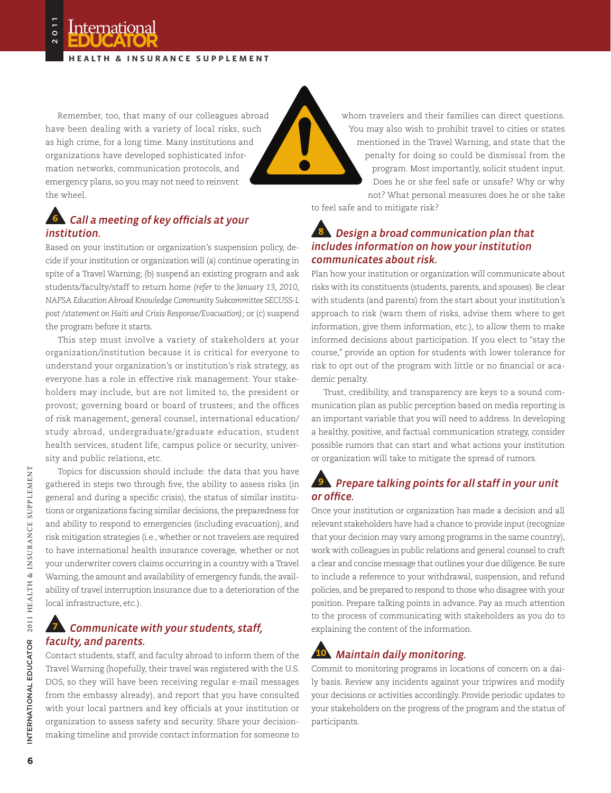**H ealt h & i n s u ra n ce s upp leme n t**

Remember, too, that many of our colleagues abroad have been dealing with a variety of local risks, such as high crime, for a long time. Many institutions and organizations have developed sophisticated information networks, communication protocols, and emergency plans, so you may not need to reinvent the wheel.

## *Call a meeting of key officials at your institution.*

Based on your institution or organization's suspension policy, decide if your institution or organization will (a) continue operating in spite of a Travel Warning; (b) suspend an existing program and ask students/faculty/staff to return home *(refer to the January 13, 2010, NAFSA Education Abroad Knowledge Community Subcommittee SECUSS-L post /statement on Haiti and Crisis Response/Evacuation);* or (c) suspend the program before it starts.

This step must involve a variety of stakeholders at your organization/institution because it is critical for everyone to understand your organization's or institution's risk strategy, as everyone has a role in effective risk management. Your stakeholders may include, but are not limited to, the president or provost; governing board or board of trustees; and the offices of risk management, general counsel, international education/ study abroad, undergraduate/graduate education, student health services, student life, campus police or security, university and public relations, etc.

Topics for discussion should include: the data that you have gathered in steps two through five, the ability to assess risks (in general and during a specific crisis), the status of similar institutions or organizations facing similar decisions, the preparedness for and ability to respond to emergencies (including evacuation), and risk mitigation strategies (i.e., whether or not travelers are required to have international health insurance coverage, whether or not your underwriter covers claims occurring in a country with a Travel Warning, the amount and availability of emergency funds, the availability of travel interruption insurance due to a deterioration of the local infrastructure, etc.).

#### *Communicate with your students, staff, faculty, and parents.*

Contact students, staff, and faculty abroad to inform them of the Travel Warning (hopefully, their travel was registered with the U.S. DOS, so they will have been receiving regular e-mail messages from the embassy already), and report that you have consulted with your local partners and key officials at your institution or organization to assess safety and security. Share your decisionmaking timeline and provide contact information for someone to

whom travelers and their families can direct questions.

You may also wish to prohibit travel to cities or states mentioned in the Travel Warning, and state that the penalty for doing so could be dismissal from the program. Most importantly, solicit student input. Does he or she feel safe or unsafe? Why or why not? What personal measures does he or she take

to feel safe and to mitigate risk?

## *Design a broad communication plan that includes information on how your institution communicates about risk.*

Plan how your institution or organization will communicate about risks with its constituents (students, parents, and spouses). Be clear with students (and parents) from the start about your institution's approach to risk (warn them of risks, advise them where to get information, give them information, etc.), to allow them to make informed decisions about participation. If you elect to "stay the course," provide an option for students with lower tolerance for risk to opt out of the program with little or no financial or academic penalty.

Trust, credibility, and transparency are keys to a sound communication plan as public perception based on media reporting is an important variable that you will need to address. In developing a healthy, positive, and factual communication strategy, consider possible rumors that can start and what actions your institution or organization will take to mitigate the spread of rumors.

## *Prepare talking points for all staff in your unit or office.*

Once your institution or organization has made a decision and all relevant stakeholders have had a chance to provide input (recognize that your decision may vary among programs in the same country), work with colleagues in public relations and general counsel to craft a clear and concise message that outlines your due diligence. Be sure to include a reference to your withdrawal, suspension, and refund policies, and be prepared to respond to those who disagree with your position. Prepare talking points in advance. Pay as much attention to the process of communicating with stakeholders as you do to explaining the content of the information.

## *Maintain daily monitoring.*

Commit to monitoring programs in locations of concern on a daily basis. Review any incidents against your tripwires and modify your decisions or activities accordingly. Provide periodic updates to your stakeholders on the progress of the program and the status of participants.